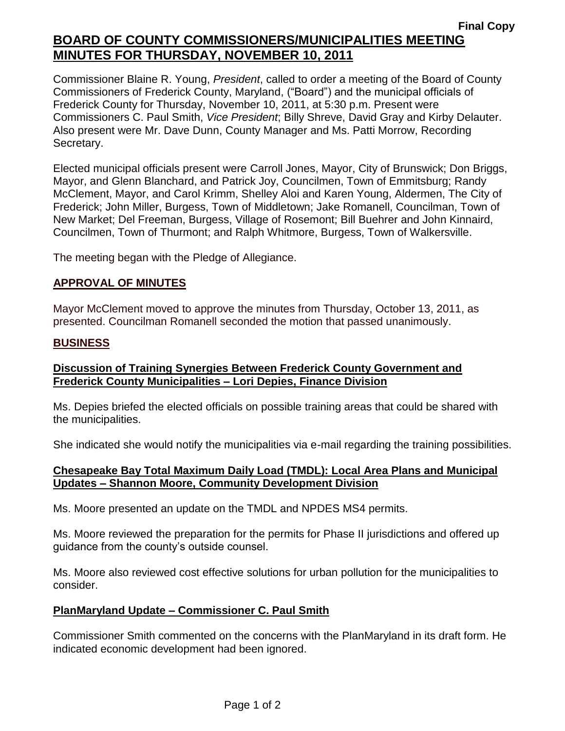# **Final Copy BOARD OF COUNTY COMMISSIONERS/MUNICIPALITIES MEETING MINUTES FOR THURSDAY, NOVEMBER 10, 2011**

Commissioner Blaine R. Young, *President*, called to order a meeting of the Board of County Commissioners of Frederick County, Maryland, ("Board") and the municipal officials of Frederick County for Thursday, November 10, 2011, at 5:30 p.m. Present were Commissioners C. Paul Smith, *Vice President*; Billy Shreve, David Gray and Kirby Delauter. Also present were Mr. Dave Dunn, County Manager and Ms. Patti Morrow, Recording Secretary.

Elected municipal officials present were Carroll Jones, Mayor, City of Brunswick; Don Briggs, Mayor, and Glenn Blanchard, and Patrick Joy, Councilmen, Town of Emmitsburg; Randy McClement, Mayor, and Carol Krimm, Shelley Aloi and Karen Young, Aldermen, The City of Frederick; John Miller, Burgess, Town of Middletown; Jake Romanell, Councilman, Town of New Market; Del Freeman, Burgess, Village of Rosemont; Bill Buehrer and John Kinnaird, Councilmen, Town of Thurmont; and Ralph Whitmore, Burgess, Town of Walkersville.

The meeting began with the Pledge of Allegiance.

### *1BU***APPROVAL OF MINUTES**

Mayor McClement moved to approve the minutes from Thursday, October 13, 2011, as presented. Councilman Romanell seconded the motion that passed unanimously.

#### **BUSINESS**

### **Discussion of Training Synergies Between Frederick County Government and Frederick County Municipalities – Lori Depies, Finance Division**

Ms. Depies briefed the elected officials on possible training areas that could be shared with the municipalities.

She indicated she would notify the municipalities via e-mail regarding the training possibilities.

#### **Chesapeake Bay Total Maximum Daily Load (TMDL): Local Area Plans and Municipal Updates – Shannon Moore, Community Development Division**

Ms. Moore presented an update on the TMDL and NPDES MS4 permits.

Ms. Moore reviewed the preparation for the permits for Phase II jurisdictions and offered up guidance from the county's outside counsel.

Ms. Moore also reviewed cost effective solutions for urban pollution for the municipalities to consider.

### **PlanMaryland Update – Commissioner C. Paul Smith**

Commissioner Smith commented on the concerns with the PlanMaryland in its draft form. He indicated economic development had been ignored.